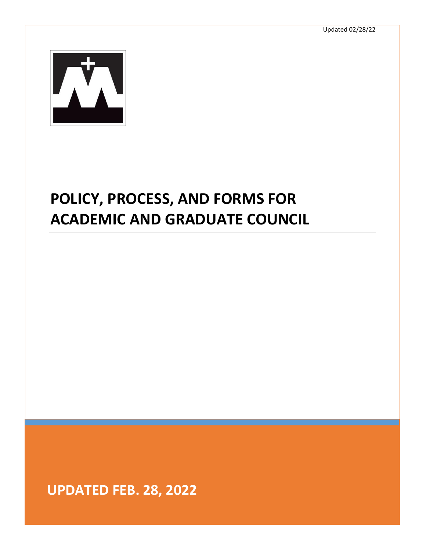

# **POLICY, PROCESS, AND FORMS FOR ACADEMIC AND GRADUATE COUNCIL**

**UPDATED FEB. 28, 2022**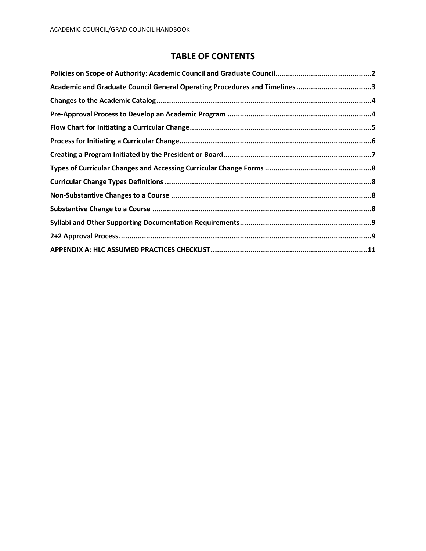# **TABLE OF CONTENTS**

| Academic and Graduate Council General Operating Procedures and Timelines3 |  |
|---------------------------------------------------------------------------|--|
|                                                                           |  |
|                                                                           |  |
|                                                                           |  |
|                                                                           |  |
|                                                                           |  |
|                                                                           |  |
|                                                                           |  |
|                                                                           |  |
|                                                                           |  |
|                                                                           |  |
|                                                                           |  |
|                                                                           |  |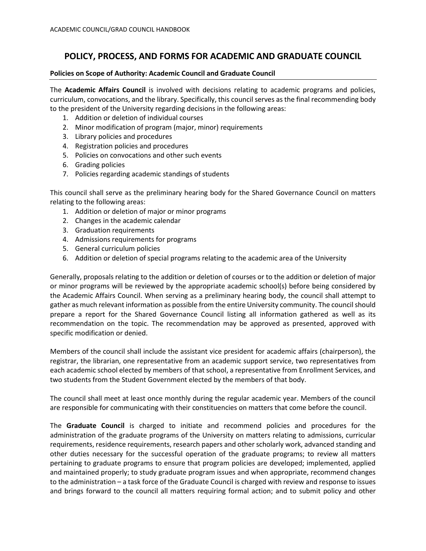# **POLICY, PROCESS, AND FORMS FOR ACADEMIC AND GRADUATE COUNCIL**

# <span id="page-2-0"></span>**Policies on Scope of Authority: Academic Council and Graduate Council**

The **Academic Affairs Council** is involved with decisions relating to academic programs and policies, curriculum, convocations, and the library. Specifically, this council serves as the final recommending body to the president of the University regarding decisions in the following areas:

- 1. Addition or deletion of individual courses
- 2. Minor modification of program (major, minor) requirements
- 3. Library policies and procedures
- 4. Registration policies and procedures
- 5. Policies on convocations and other such events
- 6. Grading policies
- 7. Policies regarding academic standings of students

This council shall serve as the preliminary hearing body for the Shared Governance Council on matters relating to the following areas:

- 1. Addition or deletion of major or minor programs
- 2. Changes in the academic calendar
- 3. Graduation requirements
- 4. Admissions requirements for programs
- 5. General curriculum policies
- 6. Addition or deletion of special programs relating to the academic area of the University

Generally, proposals relating to the addition or deletion of courses or to the addition or deletion of major or minor programs will be reviewed by the appropriate academic school(s) before being considered by the Academic Affairs Council. When serving as a preliminary hearing body, the council shall attempt to gather as much relevant information as possible from the entire University community. The council should prepare a report for the Shared Governance Council listing all information gathered as well as its recommendation on the topic. The recommendation may be approved as presented, approved with specific modification or denied.

Members of the council shall include the assistant vice president for academic affairs (chairperson), the registrar, the librarian, one representative from an academic support service, two representatives from each academic school elected by members of that school, a representative from Enrollment Services, and two students from the Student Government elected by the members of that body.

The council shall meet at least once monthly during the regular academic year. Members of the council are responsible for communicating with their constituencies on matters that come before the council.

The **Graduate Council** is charged to initiate and recommend policies and procedures for the administration of the graduate programs of the University on matters relating to admissions, curricular requirements, residence requirements, research papers and other scholarly work, advanced standing and other duties necessary for the successful operation of the graduate programs; to review all matters pertaining to graduate programs to ensure that program policies are developed; implemented, applied and maintained properly; to study graduate program issues and when appropriate, recommend changes to the administration – a task force of the Graduate Council is charged with review and response to issues and brings forward to the council all matters requiring formal action; and to submit policy and other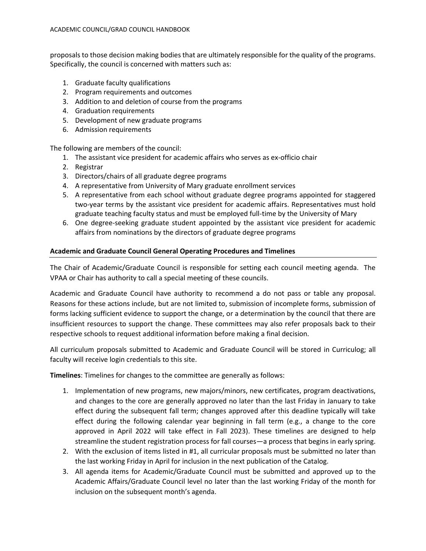proposals to those decision making bodies that are ultimately responsible for the quality of the programs. Specifically, the council is concerned with matters such as:

- 1. Graduate faculty qualifications
- 2. Program requirements and outcomes
- 3. Addition to and deletion of course from the programs
- 4. Graduation requirements
- 5. Development of new graduate programs
- 6. Admission requirements

The following are members of the council:

- 1. The assistant vice president for academic affairs who serves as ex-officio chair
- 2. Registrar
- 3. Directors/chairs of all graduate degree programs
- 4. A representative from University of Mary graduate enrollment services
- 5. A representative from each school without graduate degree programs appointed for staggered two-year terms by the assistant vice president for academic affairs. Representatives must hold graduate teaching faculty status and must be employed full-time by the University of Mary
- 6. One degree-seeking graduate student appointed by the assistant vice president for academic affairs from nominations by the directors of graduate degree programs

# <span id="page-3-0"></span>**Academic and Graduate Council General Operating Procedures and Timelines**

The Chair of Academic/Graduate Council is responsible for setting each council meeting agenda. The VPAA or Chair has authority to call a special meeting of these councils.

Academic and Graduate Council have authority to recommend a do not pass or table any proposal. Reasons for these actions include, but are not limited to, submission of incomplete forms, submission of forms lacking sufficient evidence to support the change, or a determination by the council that there are insufficient resources to support the change. These committees may also refer proposals back to their respective schools to request additional information before making a final decision.

All curriculum proposals submitted to Academic and Graduate Council will be stored in Curriculog; all faculty will receive login credentials to this site.

**Timelines**: Timelines for changes to the committee are generally as follows:

- 1. Implementation of new programs, new majors/minors, new certificates, program deactivations, and changes to the core are generally approved no later than the last Friday in January to take effect during the subsequent fall term; changes approved after this deadline typically will take effect during the following calendar year beginning in fall term (e.g., a change to the core approved in April 2022 will take effect in Fall 2023). These timelines are designed to help streamline the student registration process for fall courses—a process that begins in early spring.
- 2. With the exclusion of items listed in #1, all curricular proposals must be submitted no later than the last working Friday in April for inclusion in the next publication of the Catalog.
- 3. All agenda items for Academic/Graduate Council must be submitted and approved up to the Academic Affairs/Graduate Council level no later than the last working Friday of the month for inclusion on the subsequent month's agenda.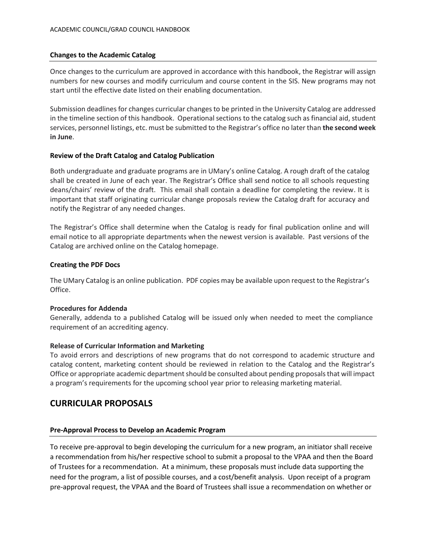# <span id="page-4-0"></span>**Changes to the Academic Catalog**

Once changes to the curriculum are approved in accordance with this handbook, the Registrar will assign numbers for new courses and modify curriculum and course content in the SIS. New programs may not start until the effective date listed on their enabling documentation.

Submission deadlines for changes curricular changes to be printed in the University Catalog are addressed in the timeline section of this handbook. Operational sections to the catalog such as financial aid, student services, personnel listings, etc. must be submitted to the Registrar's office no later than **the second week in June**.

#### **Review of the Draft Catalog and Catalog Publication**

Both undergraduate and graduate programs are in UMary's online Catalog. A rough draft of the catalog shall be created in June of each year. The Registrar's Office shall send notice to all schools requesting deans/chairs' review of the draft. This email shall contain a deadline for completing the review. It is important that staff originating curricular change proposals review the Catalog draft for accuracy and notify the Registrar of any needed changes.

The Registrar's Office shall determine when the Catalog is ready for final publication online and will email notice to all appropriate departments when the newest version is available. Past versions of the Catalog are archived online on the Catalog homepage.

#### **Creating the PDF Docs**

The UMary Catalog is an online publication. PDF copies may be available upon request to the Registrar's Office.

#### **Procedures for Addenda**

Generally, addenda to a published Catalog will be issued only when needed to meet the compliance requirement of an accrediting agency.

#### **Release of Curricular Information and Marketing**

To avoid errors and descriptions of new programs that do not correspond to academic structure and catalog content, marketing content should be reviewed in relation to the Catalog and the Registrar's Office or appropriate academic department should be consulted about pending proposals that will impact a program's requirements for the upcoming school year prior to releasing marketing material.

# **CURRICULAR PROPOSALS**

# <span id="page-4-1"></span>**Pre-Approval Process to Develop an Academic Program**

To receive pre-approval to begin developing the curriculum for a new program, an initiator shall receive a recommendation from his/her respective school to submit a proposal to the VPAA and then the Board of Trustees for a recommendation. At a minimum, these proposals must include data supporting the need for the program, a list of possible courses, and a cost/benefit analysis. Upon receipt of a program pre-approval request, the VPAA and the Board of Trustees shall issue a recommendation on whether or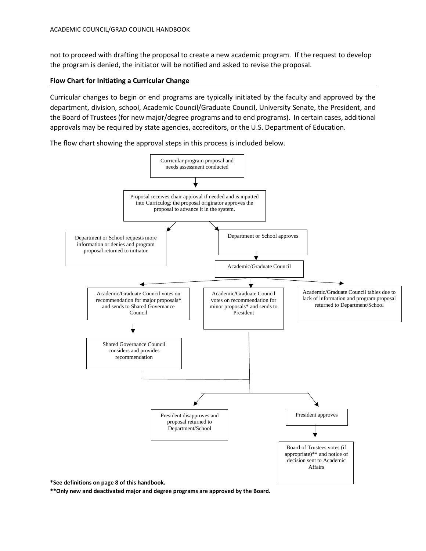not to proceed with drafting the proposal to create a new academic program. If the request to develop the program is denied, the initiator will be notified and asked to revise the proposal.

# <span id="page-5-0"></span>**Flow Chart for Initiating a Curricular Change**

Curricular changes to begin or end programs are typically initiated by the faculty and approved by the department, division, school, Academic Council/Graduate Council, University Senate, the President, and the Board of Trustees (for new major/degree programs and to end programs). In certain cases, additional approvals may be required by state agencies, accreditors, or the U.S. Department of Education.

The flow chart showing the approval steps in this process is included below.



**\*\*Only new and deactivated major and degree programs are approved by the Board.**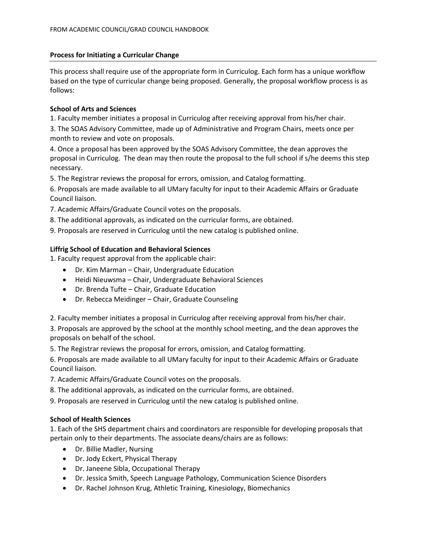# <span id="page-6-0"></span>**Process for Initiating a Curricular Change**

This process shall require use of the appropriate form in Curriculog. Each form has a unique workflow based on the type of curricular change being proposed. Generally, the proposal workflow process is as follows:

# **School of Arts and Sciences**

1. Faculty member initiates a proposal in Curriculog after receiving approval from his/her chair.

3. The SOAS Advisory Committee, made up of Administrative and Program Chairs, meets once per month to review and vote on proposals.

4. Once a proposal has been approved by the SOAS Advisory Committee, the dean approves the proposal in Curriculog. The dean may then route the proposal to the full school if s/he deems this step necessary.

5. The Registrar reviews the proposal for errors, omission, and Catalog formatting.

6. Proposals are made available to all UMary faculty for input to their Academic Affairs or Graduate Council liaison.

- 7. Academic Affairs/Graduate Council votes on the proposals.
- 8. The additional approvals, as indicated on the curricular forms, are obtained.

9. Proposals are reserved in Curriculog until the new catalog is published online.

# **Liffrig School of Education and Behavioral Sciences**

1. Faculty request approval from the applicable chair:

- Dr. Kim Marman Chair, Undergraduate Education
- Heidi Nieuwsma Chair, Undergraduate Behavioral Sciences
- Dr. Brenda Tufte Chair, Graduate Education
- Dr. Rebecca Meidinger Chair, Graduate Counseling

2. Faculty member initiates a proposal in Curriculog after receiving approval from his/her chair.

3. Proposals are approved by the school at the monthly school meeting, and the dean approves the proposals on behalf of the school.

5. The Registrar reviews the proposal for errors, omission, and Catalog formatting.

6. Proposals are made available to all UMary faculty for input to their Academic Affairs or Graduate Council liaison.

7. Academic Affairs/Graduate Council votes on the proposals.

8. The additional approvals, as indicated on the curricular forms, are obtained.

9. Proposals are reserved in Curriculog until the new catalog is published online.

# **School of Health Sciences**

1. Each of the SHS department chairs and coordinators are responsible for developing proposals that pertain only to their departments. The associate deans/chairs are as follows:

- Dr. Billie Madler, Nursing
- Dr. Jody Eckert, Physical Therapy
- Dr. Janeene Sibla, Occupational Therapy
- Dr. Jessica Smith, Speech Language Pathology, Communication Science Disorders
- Dr. Rachel Johnson Krug, Athletic Training, Kinesiology, Biomechanics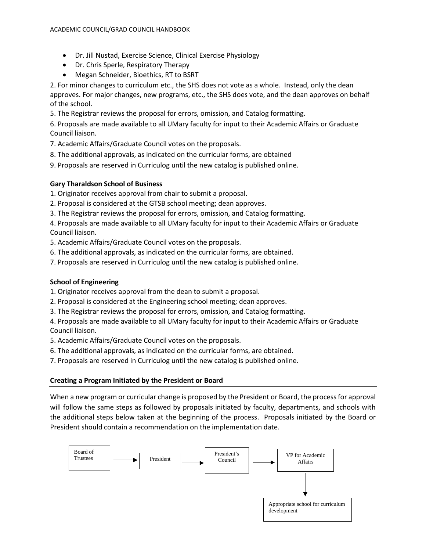- Dr. Jill Nustad, Exercise Science, Clinical Exercise Physiology
- Dr. Chris Sperle, Respiratory Therapy
- Megan Schneider, Bioethics, RT to BSRT

2. For minor changes to curriculum etc., the SHS does not vote as a whole. Instead, only the dean approves. For major changes, new programs, etc., the SHS does vote, and the dean approves on behalf of the school.

5. The Registrar reviews the proposal for errors, omission, and Catalog formatting.

6. Proposals are made available to all UMary faculty for input to their Academic Affairs or Graduate Council liaison.

7. Academic Affairs/Graduate Council votes on the proposals.

- 8. The additional approvals, as indicated on the curricular forms, are obtained
- 9. Proposals are reserved in Curriculog until the new catalog is published online.

# **Gary Tharaldson School of Business**

1. Originator receives approval from chair to submit a proposal.

- 2. Proposal is considered at the GTSB school meeting; dean approves.
- 3. The Registrar reviews the proposal for errors, omission, and Catalog formatting.

4. Proposals are made available to all UMary faculty for input to their Academic Affairs or Graduate Council liaison.

5. Academic Affairs/Graduate Council votes on the proposals.

- 6. The additional approvals, as indicated on the curricular forms, are obtained.
- 7. Proposals are reserved in Curriculog until the new catalog is published online.

# **School of Engineering**

1. Originator receives approval from the dean to submit a proposal.

- 2. Proposal is considered at the Engineering school meeting; dean approves.
- 3. The Registrar reviews the proposal for errors, omission, and Catalog formatting.

4. Proposals are made available to all UMary faculty for input to their Academic Affairs or Graduate Council liaison.

- 5. Academic Affairs/Graduate Council votes on the proposals.
- 6. The additional approvals, as indicated on the curricular forms, are obtained.
- 7. Proposals are reserved in Curriculog until the new catalog is published online.

# <span id="page-7-0"></span>**Creating a Program Initiated by the President or Board**

When a new program or curricular change is proposed by the President or Board, the process for approval will follow the same steps as followed by proposals initiated by faculty, departments, and schools with the additional steps below taken at the beginning of the process. Proposals initiated by the Board or President should contain a recommendation on the implementation date.

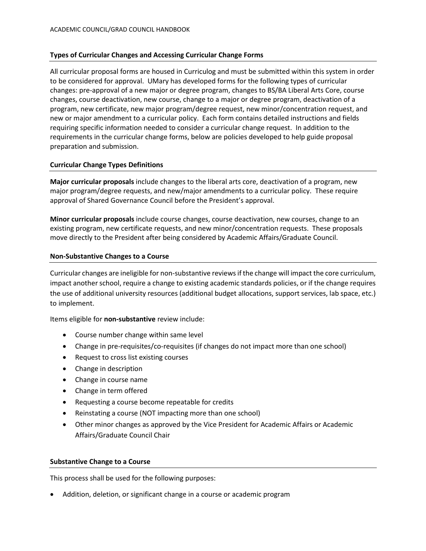# <span id="page-8-0"></span>**Types of Curricular Changes and Accessing Curricular Change Forms**

All curricular proposal forms are housed in Curriculog and must be submitted within this system in order to be considered for approval. UMary has developed forms for the following types of curricular changes: pre-approval of a new major or degree program, changes to BS/BA Liberal Arts Core, course changes, course deactivation, new course, change to a major or degree program, deactivation of a program, new certificate, new major program/degree request, new minor/concentration request, and new or major amendment to a curricular policy. Each form contains detailed instructions and fields requiring specific information needed to consider a curricular change request. In addition to the requirements in the curricular change forms, below are policies developed to help guide proposal preparation and submission.

#### <span id="page-8-1"></span>**Curricular Change Types Definitions**

**Major curricular proposals** include changes to the liberal arts core, deactivation of a program, new major program/degree requests, and new/major amendments to a curricular policy. These require approval of Shared Governance Council before the President's approval.

**Minor curricular proposals** include course changes, course deactivation, new courses, change to an existing program, new certificate requests, and new minor/concentration requests. These proposals move directly to the President after being considered by Academic Affairs/Graduate Council.

#### <span id="page-8-2"></span>**Non-Substantive Changes to a Course**

Curricular changes are ineligible for non-substantive reviews if the change will impact the core curriculum, impact another school, require a change to existing academic standards policies, or if the change requires the use of additional university resources (additional budget allocations, support services, lab space, etc.) to implement.

Items eligible for **non-substantive** review include:

- Course number change within same level
- Change in pre-requisites/co-requisites (if changes do not impact more than one school)
- Request to cross list existing courses
- Change in description
- Change in course name
- Change in term offered
- Requesting a course become repeatable for credits
- Reinstating a course (NOT impacting more than one school)
- Other minor changes as approved by the Vice President for Academic Affairs or Academic Affairs/Graduate Council Chair

# <span id="page-8-3"></span>**Substantive Change to a Course**

This process shall be used for the following purposes:

• Addition, deletion, or significant change in a course or academic program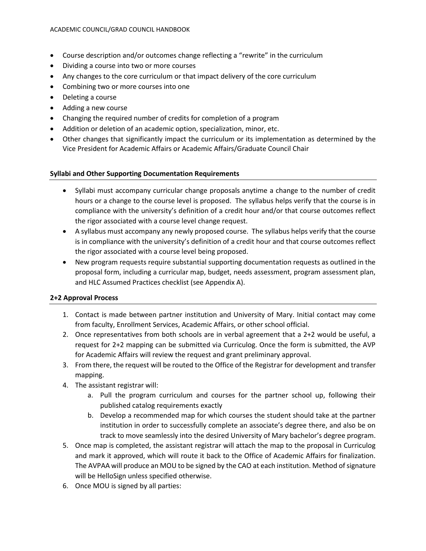- Course description and/or outcomes change reflecting a "rewrite" in the curriculum
- Dividing a course into two or more courses
- Any changes to the core curriculum or that impact delivery of the core curriculum
- Combining two or more courses into one
- Deleting a course
- Adding a new course
- Changing the required number of credits for completion of a program
- Addition or deletion of an academic option, specialization, minor, etc.
- Other changes that significantly impact the curriculum or its implementation as determined by the Vice President for Academic Affairs or Academic Affairs/Graduate Council Chair

# <span id="page-9-0"></span>**Syllabi and Other Supporting Documentation Requirements**

- Syllabi must accompany curricular change proposals anytime a change to the number of credit hours or a change to the course level is proposed. The syllabus helps verify that the course is in compliance with the university's definition of a credit hour and/or that course outcomes reflect the rigor associated with a course level change request.
- A syllabus must accompany any newly proposed course. The syllabus helps verify that the course is in compliance with the university's definition of a credit hour and that course outcomes reflect the rigor associated with a course level being proposed.
- New program requests require substantial supporting documentation requests as outlined in the proposal form, including a curricular map, budget, needs assessment, program assessment plan, and HLC Assumed Practices checklist (see Appendix A).

# <span id="page-9-1"></span>**2+2 Approval Process**

- 1. Contact is made between partner institution and University of Mary. Initial contact may come from faculty, Enrollment Services, Academic Affairs, or other school official.
- 2. Once representatives from both schools are in verbal agreement that a 2+2 would be useful, a request for 2+2 mapping can be submitted via Curriculog. Once the form is submitted, the AVP for Academic Affairs will review the request and grant preliminary approval.
- 3. From there, the request will be routed to the Office of the Registrar for development and transfer mapping.
- 4. The assistant registrar will:
	- a. Pull the program curriculum and courses for the partner school up, following their published catalog requirements exactly
	- b. Develop a recommended map for which courses the student should take at the partner institution in order to successfully complete an associate's degree there, and also be on track to move seamlessly into the desired University of Mary bachelor's degree program.
- 5. Once map is completed, the assistant registrar will attach the map to the proposal in Curriculog and mark it approved, which will route it back to the Office of Academic Affairs for finalization. The AVPAA will produce an MOU to be signed by the CAO at each institution. Method of signature will be HelloSign unless specified otherwise.
- 6. Once MOU is signed by all parties: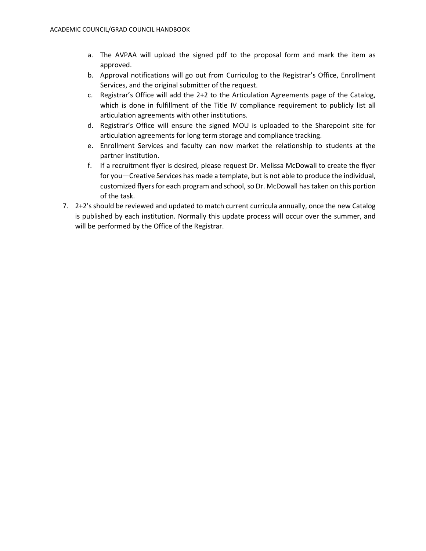- a. The AVPAA will upload the signed pdf to the proposal form and mark the item as approved.
- b. Approval notifications will go out from Curriculog to the Registrar's Office, Enrollment Services, and the original submitter of the request.
- c. Registrar's Office will add the 2+2 to the Articulation Agreements page of the Catalog, which is done in fulfillment of the Title IV compliance requirement to publicly list all articulation agreements with other institutions.
- d. Registrar's Office will ensure the signed MOU is uploaded to the Sharepoint site for articulation agreements for long term storage and compliance tracking.
- e. Enrollment Services and faculty can now market the relationship to students at the partner institution.
- f. If a recruitment flyer is desired, please request Dr. Melissa McDowall to create the flyer for you—Creative Services has made a template, but is not able to produce the individual, customized flyers for each program and school, so Dr. McDowall has taken on this portion of the task.
- 7. 2+2's should be reviewed and updated to match current curricula annually, once the new Catalog is published by each institution. Normally this update process will occur over the summer, and will be performed by the Office of the Registrar.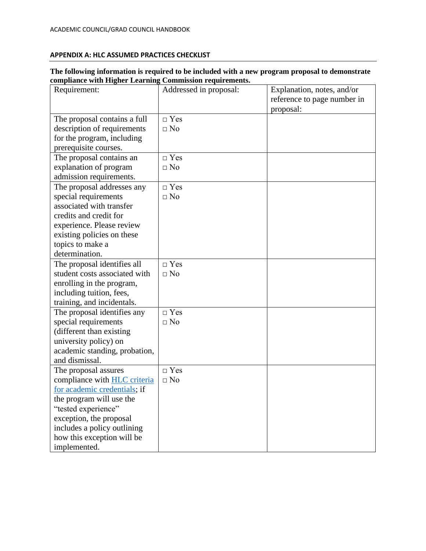# <span id="page-11-0"></span>**APPENDIX A: HLC ASSUMED PRACTICES CHECKLIST**

#### **The following information is required to be included with a new program proposal to demonstrate compliance with Higher Learning Commission requirements.**

| Requirement:                        | Addressed in proposal: | Explanation, notes, and/or<br>reference to page number in |
|-------------------------------------|------------------------|-----------------------------------------------------------|
|                                     |                        | proposal:                                                 |
| The proposal contains a full        | $\Box$ Yes             |                                                           |
| description of requirements         | $\Box$ No              |                                                           |
| for the program, including          |                        |                                                           |
| prerequisite courses.               |                        |                                                           |
| The proposal contains an            | $\Box$ Yes             |                                                           |
| explanation of program              | $\Box$ No              |                                                           |
| admission requirements.             |                        |                                                           |
| The proposal addresses any          | $\Box$ Yes             |                                                           |
| special requirements                | $\Box$ No              |                                                           |
| associated with transfer            |                        |                                                           |
| credits and credit for              |                        |                                                           |
| experience. Please review           |                        |                                                           |
| existing policies on these          |                        |                                                           |
| topics to make a                    |                        |                                                           |
| determination.                      |                        |                                                           |
| The proposal identifies all         | $\Box$ Yes             |                                                           |
| student costs associated with       | $\Box$ No              |                                                           |
| enrolling in the program,           |                        |                                                           |
| including tuition, fees,            |                        |                                                           |
| training, and incidentals.          |                        |                                                           |
| The proposal identifies any         | $\Box$ Yes             |                                                           |
| special requirements                | $\Box$ No              |                                                           |
| (different than existing            |                        |                                                           |
| university policy) on               |                        |                                                           |
| academic standing, probation,       |                        |                                                           |
| and dismissal.                      |                        |                                                           |
| The proposal assures                | $\neg$ Yes             |                                                           |
| compliance with <b>HLC</b> criteria | $\Box$ No              |                                                           |
| for academic credentials; if        |                        |                                                           |
| the program will use the            |                        |                                                           |
| "tested experience"                 |                        |                                                           |
| exception, the proposal             |                        |                                                           |
| includes a policy outlining         |                        |                                                           |
| how this exception will be          |                        |                                                           |
| implemented.                        |                        |                                                           |